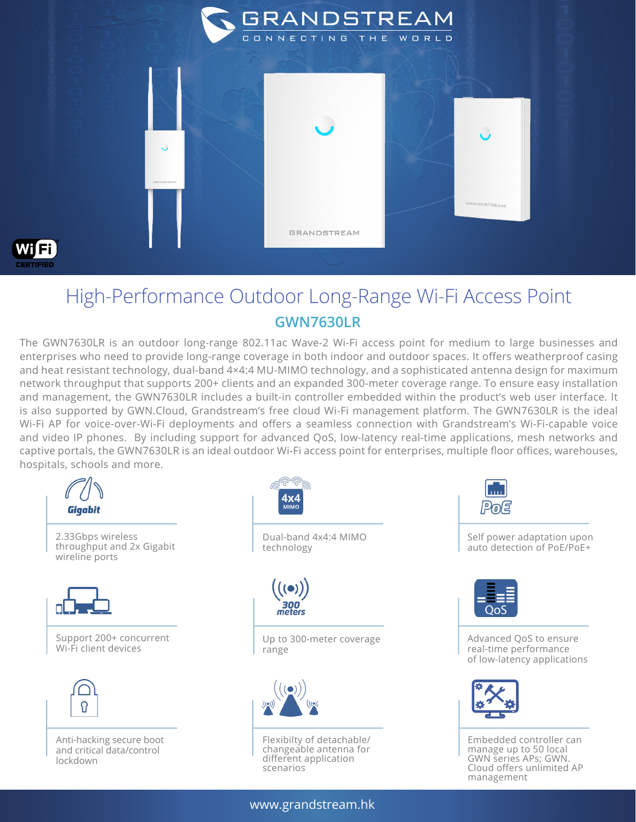

## High-Performance Outdoor Long-Range Wi-Fi Access Point **GWN7630LR**

The GWN7630LR is an outdoor long-range 802.11ac Wave-2 Wi-Fi access point for medium to large businesses and enterprises who need to provide long-range coverage in both indoor and outdoor spaces. It offers weatherproof casing and heat resistant technology, dual-band 4×4:4 MU-MIMO technology, and a sophisticated antenna design for maximum network throughput that supports 200+ clients and an expanded 300-meter coverage range. To ensure easy installation and management, the GWN7630LR includes a built-in controller embedded within the product's web user interface. It is also supported by GWN.Cloud, Grandstream's free cloud Wi-Fi management platform. The GWN7630LR is the ideal Wi-Fi AP for voice-over-Wi-Fi deployments and offers a seamless connection with Grandstream's Wi-Fi-capable voice and video IP phones. By including support for advanced QoS, low-latency real-time applications, mesh networks and captive portals, the GWN7630LR is an ideal outdoor Wi-Fi access point for enterprises, multiple floor offices, warehouses, hospitals, schools and more.



Pola

Self power adaptation upon auto detection of PoE/PoE+



Advanced QoS to ensure real-time performance of low-latency applications



Embedded controller can manage up to 50 local GWN series APs; GWN. Cloud offers unlimited AP management

www.grandstream.hk